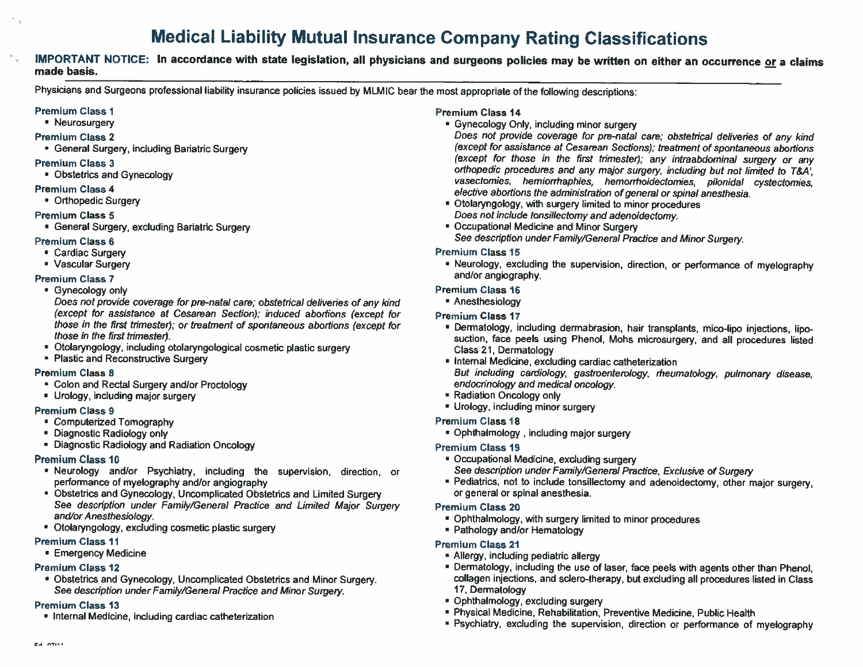# Medical Liability Mutual Insurance Company Rating Classifications

## IMPORTANT NOTICE: In accordance with state legislation, all physicians and surgeons policies may be written on either an occurrence or <sup>a</sup> claims made basis.

Physicians and Surgeons professional liability insurance policies issued by MLMIC bear the most appropriate of the following descriptions:

## Premium Class <sup>1</sup>

• Neurosurgery

- Premium Class 2
- General Surgery, including Bariatric Surgery

## Premium Class <sup>3</sup>

• Obstetrics and Gynecology

## Premium Class 4

Orthopedic Surgery

## Premium Class 5

• General Surgery, excluding Bariatric Surgery

## Premium Class 6

- Cardiac Surgery
- Vascular Surgery

## Premium Class 7

• Gynecology only

Does not provide coverage for pre-natal care; obstetrical deliveries of any kind (except for assistance at Cesarean Section); induced abortions (except for those in the first trimester), or treatment of spontaneous abortions (except for those in the first trimester).

- Otolaryngology, including otolaryngological cosmetic plastic surgery
- Plastic and Reconstructive Surgery

## Premium Class <sup>8</sup>

- Colon and Rectal Surgery and/or Proctology
- Urology, including major surgery

## Premium Class 9

- Computerized Tomography
- Diagnostic Radiology only
- Diagnostic Radiology and Radiation Oncology

## Premium Class 10

- Neurology and/or Psychiatry, including the supervision, direction, or performance of myelography and/or angiography
- Obstetrics and Gynecology, Uncomplicated Obstetrics and Limited Surgery See description under Family/General Practice and Limited Major Surgery and/or Anesthesiology.
- Otolaryngology, excluding cosmetic plastic surgery

## Premium Class 11

• Emergency Medicine

## Premium Class 12

• Obstetrics and Gynecology, Uncomplicated Obstetrics and Minor Surgery. See description under Family/General Practice and Minor Surgery.

## Premium Class 13

• Internal Medicine, including cardiac catheterization

## Premium Class 14

Gynecology Only, including minor surgery

Does not provide coverage for pre-natal care; obstetrical deliveries of any kind (except for assistance at Cesarean Sections); treatment of spontaneous abortions (except for those in the first trimester); any intraabdominal surgery or any orthopedic procedures and any major surgery, including but not limited to T&A vasectomies, herniorrhaphies, hemorrhoidectomies, pilonidal cystectomies, elective abortions the administration of general or spinal anesthesia.

- Otolaryngology, with surgery limited to minor procedures Does not include tonsillectomy and adenoidectomy.
- Occupational Medicine and Minor Surgery See description under Family/General Practice and Minor Surgery.

## Premium Class 15

• Neurology, excluding the supervision, direction, or performance of myelography and/or angiography.

## Premium Class 16

• Anesthesiology

## Premium Class 17

- Dermatology, including dermabrasion, hair transplants, mice-lipo injections, lipo suction, face peels using Phenol, Mohs microsurgery, and all procedures listed Class 21, Dermatology
- Internal Medicine, excluding cardiac catheterization But including cardiology, gastroenterology, rheumatology, pulmonary disease, endocrinology and medical oncology.
- Radiation Oncology only
- Urology, including minor surgery

## Premium Class 18

• Ophthalmology , including major surgery

## Premium Class 19

- Occupational Medicine, excluding surgery
- See description under Family/General Practice. Exclusive of Surgery
- Pediatrics, not to include tonsillectomy and adenoidectomy, other major surgery, or general or spinal anesthesia.

## Premium Class 20

- Ophthalmology, with surgery limited to minor procedures
- Pathology and/or Hematology

## Premium Class 21

- Allergy, including pediatric allergy
- Dermatology, including the use of laser, face peels with agents other than Phenol, collagen injections, and sclero-therapy, but excluding all procedures listed in Class 17, Dermatology
- Ophthalmology, excluding surgery
- Physical Medicine, Rehabilitation, Preventive Medicine, Public Health
- Psychiatry, excluding the supervision, direction or performance of myelography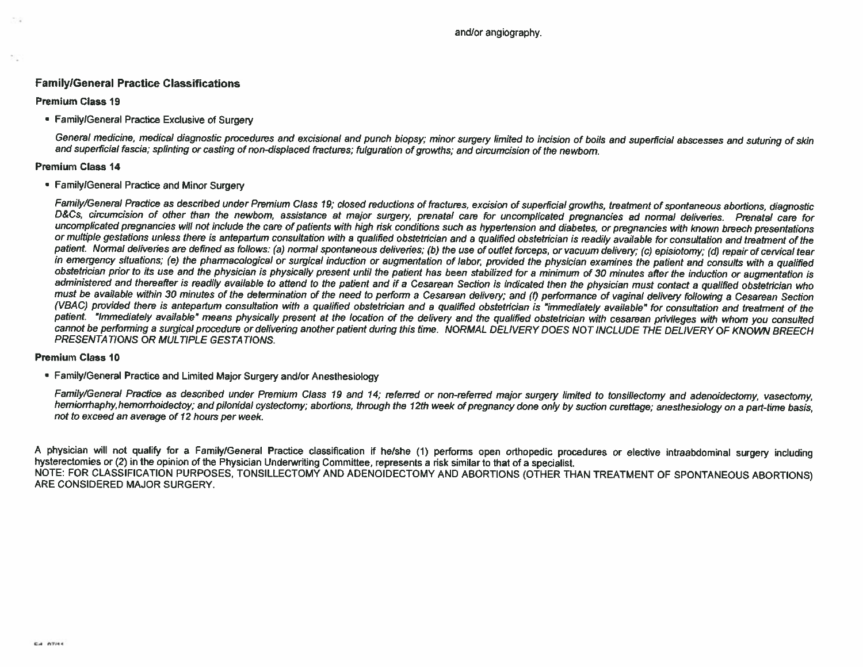## Family/General Practice Classifications

## Premium Class 19

Family/General Practice Exclusive of Surgery

General medicine, medical diagnostic procedures and excisional and punch biopsy; minor surgery limited to incision of boils and superficial abscesses and suturing of skin and superficial fascia; splinting or casting of non-displaced fractures; fulguration of growths; and circumcision of the newborn.

## Premium Class 14

Family/General Practice and Minor Surgery

Family/General Practice as described under Premium Class 19; closed reductions of fractures, excision of superficial growths, treatment of spontaneous abortions, diagnostic<br>D&Cs, circumcision of other than the newbom, assi or multiple gestations unless there is antepartum consultation with a qualified obstetrician and a qualified obstetrician is readily available for consultation and treatment of the patient. Normal deliveries are defined as follows: (a) normal spontaneous deliveries; (b) the use of outlet forceps, or vacuum delivery; (c) episiotomy; (d) repair of cervical tear<br>in emergency situations; (e) the pharmaco obstetrician prior to its use and the physician is physically present until the patient has been stabilized for a minimum of 30 minutes after the induction or augmentation is administered and thereafter is readily available to attend to the patient and if <sup>a</sup> Cesarean Section is indicated then the physician must contact <sup>a</sup> qualified obstetrician who must be available within 30 minutes of the determination of the need to perform <sup>a</sup> Cesarean delivery; and (f) performance of vaginal delivery following <sup>a</sup> Cesarean Section (VBAC) provided there is antepartum consultation with a qualified obstetrician is independent is "immediately available" for consultation and treatment of the patient. "Immediately available" means physically present at the location of the delivery and the qualified obstetrician with cesarean privileges with whom you consulted cannot be performing a surgical procedure or delivering another patient during this time. NORMAL DELIVERY DOES NOT INCLUDE THE DELIVERY OF KNOWN BREECH PRESENTATIONS OR MULTIPLE GESTATIONS.

## Premium Class ID

Family/General Practice and Limited Major Surgery and/or Anesthesiology

Family/General Practice as described under Premium Class 19 and 14; referred or non-referred major surgery limited to tonsillectomy and adenoidectomy, vasectomy,<br>hemiorrhaphy,hemorrhoidectoy; and pilonidal cystectomy; abor not to exceed an average of 12 hours per week.

A physician will not qualify for a Family/General Practice classification if he/she (1) performs open orthopedic procedures or elective intraabdominal surgery including<br>hysterectomies or (2) in the opinion of the Physician NOTE: FOR CLASSIFICATION PURPOSES, TONSILLECTOMY AND ADENDIDECTOMY AND ABORTIONS (OTHER THAN TREATMENT OF SPONTANEOUS ABORTIONS) ARE CONSIDERED MAJOR SURGERY.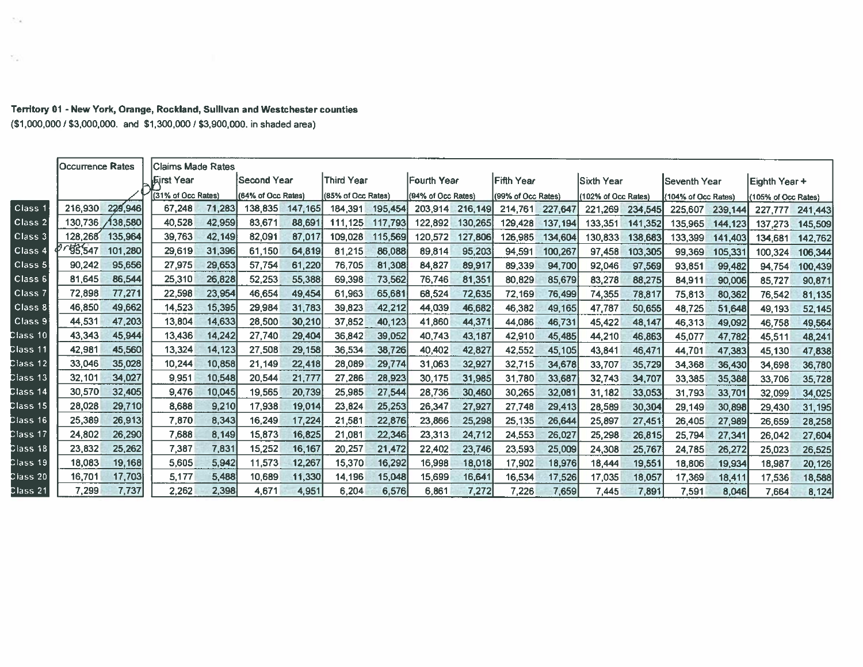| Territory 01 - New York, Orange, Rockland, Sullivan and Westchester counties |  |  |
|------------------------------------------------------------------------------|--|--|
| (\$1,000,000 / \$3,000,000. and \$1,300,000 / \$3,900,000. in shaded area)   |  |  |

|                    | Occurrence Rates   | lClaims Made Rates |        |                    |         |                    |         |                    |         |                    |         |                     |         |                     |         |                     |         |
|--------------------|--------------------|--------------------|--------|--------------------|---------|--------------------|---------|--------------------|---------|--------------------|---------|---------------------|---------|---------------------|---------|---------------------|---------|
|                    |                    | <b>IEirst Year</b> |        | <b>Second Year</b> |         | Third Year         |         | Fourth Year        |         | Fifth Year         |         | lSixth Year         |         | lSeventh Year       |         | Eighth Year +       |         |
|                    |                    | (31% of Occ Rates) |        | (64% of Occ Rates) |         | (85% of Occ Rates) |         | (94% of Occ Rates) |         | (99% of Occ Rates) |         | (102% of Occ Rates) |         | (104% of Occ Rates) |         | (105% of Occ Rates) |         |
| Class:             | 216,930<br>229,946 | 67.248             | 71,283 | 138,835            | 147,165 | 184,391            | 195,454 | 203,914            | 216,149 | 214,761            | 227,647 | 221,269             | 234,545 | 225,607             | 239,144 | 227,777             | 241,443 |
| Class <sub>2</sub> | 130.736<br>138,580 | 40.528             | 42,959 | 83,671             | 88,691  | 111,125            | 117,793 | 122,892            | 130,265 | 129,428            | 137.194 | 133,351             | 141,352 | 135,965             | 144,123 | 137,273             | 145,509 |
| Class 3            | 128,268<br>135,964 | 39,763             | 42,149 | 82,091             | 87,017  | 109.028            | 115,569 | 120,572            | 127,806 | 126,985            | 134,604 | 130,833             | 138,683 | 133,399             | 141,403 | 134,681             | 142,762 |
| Class <sub>4</sub> | 55,547<br>101,280  | 29,619             | 31,396 | 61,150             | 64,819  | 81,215             | 86,088  | 89,814             | 95,203  | 94,591             | 100,267 | 97,458              | 103,305 | 99,369              | 105,331 | 100,324             | 106,344 |
| Class 5            | 90.242<br>95,656   | 27,975             | 29,653 | 57,754             | 61,220  | 76.705             | 81,308  | 84,827             | 89,917  | 89,339             | 94,700  | 92,046              | 97,569  | 93,851              | 99,482  | 94,754              | 100,439 |
| Class 6            | 81,645<br>86,544   | 25,310             | 26,828 | 52,253             | 55,388  | 69,398             | 73,562  | 76,746             | 81,351  | 80,829             | 85,679  | 83,278              | 88,275  | 84,911              | 90,006  | 85,727              | 90,871  |
| Class 7            | 77,271<br>72.898   | 22,598             | 23,954 | 46,654             | 49,454  | 61.963             | 65,681  | 68,524             | 72,635  | 72,169             | 76,499  | 74,355              | 78,817  | 75,813              | 80,362  | 76,542              | 81,135  |
| Class 8            | 49,662<br>46,850   | 14,523             | 15,395 | 29,984             | 31,783  | 39,823             | 42,212  | 44,039             | 46,682  | 46,382             | 49,165  | 47,787              | 50,655  | 48,725              | 51,648  | 49,193              | 52,145  |
| Class <sub>9</sub> | 47,203<br>44,531   | 13,804             | 14,633 | 28,500             | 30,210  | 37,852             | 40.123  | 41,860             | 44,371  | 44.086             | 46,731  | 45,422              | 48,147  | 46,313              | 49,092  | 46,758              | 49,564  |
| Class 10           | 45,944<br>43,343   | 13.436             | 14,242 | 27,740             | 29,404  | 36,842             | 39,052  | 40,743             | 43,187  | 42,910             | 45,485  | 44,210              | 46,863  | 45,077              | 47,782  | 45,511              | 48,241  |
| Class 11           | 42.981<br>45,560   | 13,324             | 14,123 | 27,508             | 29,158  | 36,534             | 38,726  | 40,402             | 42,827  | 42,552             | 45,105  | 43,841              | 46,471  | 44,701              | 47,383  | 45,130              | 47,838  |
| Class 12           | 33,046<br>35,028   | 10.244             | 10,858 | 21,149             | 22,418  | 28,089             | 29,774  | 31,063             | 32,927  | 32,715             | 34,678  | 33,707              | 35,729  | 34,368              | 36,430  | 34,698              | 36,780  |
| Class 13           | 34,027<br>32,101   | 9.951              | 10,548 | 20,544             | 21,777  | 27,286             | 28,923  | 30,175             | 31,985  | 31,780             | 33,687  | 32,743              | 34,707  | 33,385              | 35,388  | 33,706              | 35,728  |
| <b>Class 14</b>    | 30,570<br>32,405   | 9.476              | 10.045 | 19,565             | 20,739  | 25,985             | 27,544  | 28,736             | 30,460  | 30,265             | 32,081  | 31,182              | 33,053  | 31,793              | 33,701  | 32,099              | 34,025  |
| Class 15           | 28,028<br>29,710   | 8,688              | 9,210  | 17,938             | 19,014  | 23,824             | 25,253  | 26,347             | 27,927  | 27,748             | 29,413  | 28,589              | 30,304  | 29,149              | 30,898  | 29,430              | 31,195  |
| Class 16           | 25,389<br>26,913   | 7,870              | 8,343  | 16,249             | 17,224  | 21,581             | 22,876  | 23.866             | 25,298  | 25,135             | 26,644  | 25,897              | 27,451  | 26,405              | 27,989  | 26,659              | 28,258  |
| Class 17           | 26,290<br>24,802   | 7.688              | 8.149  | 15,873             | 16,825  | 21,081             | 22,346  | 23,313             | 24,712  | 24,553             | 26,027  | 25,298              | 26,815  | 25,794              | 27,341  | 26,042              | 27,604  |
| Class 18           | 25,262<br>23,832   | 7.387              | 7.831  | 15,252             | 16,167  | 20,257             | 21,472  | 22,402             | 23,746  | 23,593             | 25,009  | 24,308              | 25,767  | 24,785              | 26,272  | 25,023              | 26,525  |
| Class 19           | 18,083<br>19,168   | 5,605              | 5,942  | 11,573             | 12,267  | 15,370             | 16,292  | 16,998             | 18,018  | 17,902             | 18,976  | 18,444              | 19,551  | 18,806              | 19,934  | 18,987              | 20,126  |
| Class 20           | 17,703<br>16,701   | 5.177              | 5,488  | 10,689             | 11,330  | 14,196             | 15,048  | 15,699             | 16,641  | 16,534             | 17,526  | 17,035              | 18,057  | 17,369              | 18,411  | 17,536              | 18,588  |
| Class 21           | 7,737<br>7,299     | 2,262              | 2,398  | 4,671              | 4,951   | 6,204              | 6,576   | 6,861              | 7,272   | 7,226              | 7,659   | 7,445               | 7,891   | 7,591               | 8,046   | 7,664               | 8,124   |

 $\sim 10$ 

 $\langle \cdot \rangle_{\infty}$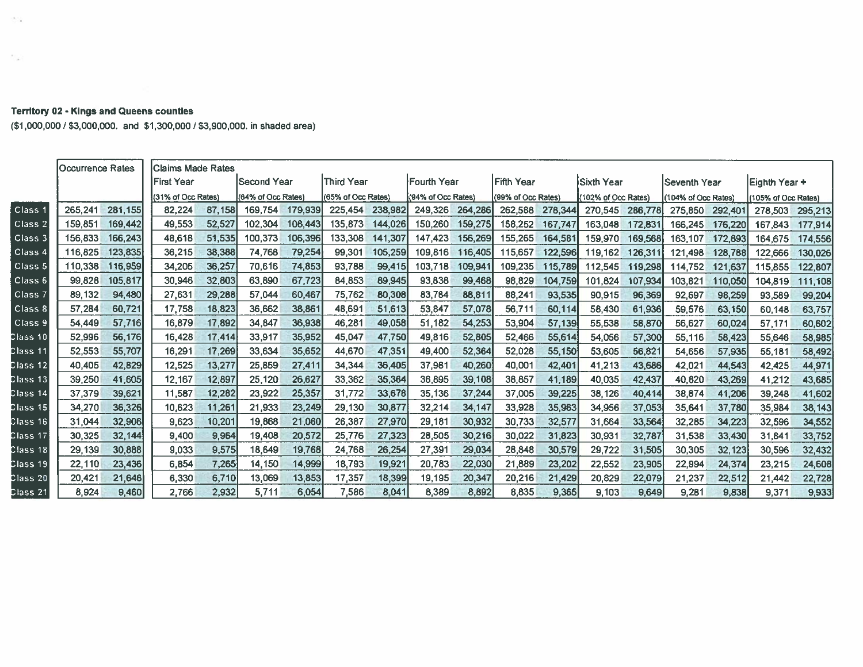## itory 02 - Kings and Queens counties

- 250

 $\sim$ 

1tory U2 - Kings and Queens counties<br>000,000 / \$3,000,000. and \$1,300,000 / \$3,900,000. in shaded area a<br>C

|                    | <b>Occurrence Rates</b> |         | Claims Made Rates  |        |                    |         |                    |         |                    |         |                    |         |                     |         |                     |         |                     |         |
|--------------------|-------------------------|---------|--------------------|--------|--------------------|---------|--------------------|---------|--------------------|---------|--------------------|---------|---------------------|---------|---------------------|---------|---------------------|---------|
|                    |                         |         | IFirst Year        |        | ISecond Year       |         | Third Year         |         | lFourth Year       |         | lFifth Year        |         | lSixth Year         |         | Seventh Year        |         | Eighth Year+        |         |
|                    |                         |         | (31% of Occ Rates) |        | (64% of Occ Rates) |         | (65% of Occ Rates) |         | (94% of Occ Rates) |         | (99% of Occ Rates) |         | (102% of Occ Rates) |         | (104% of Occ Rates) |         | (105% of Occ Rates) |         |
| Class <sub>1</sub> | 265.241                 | 281,155 | 82,224             | 87,158 | 169.754            | 179,939 | 225,454            | 238,982 | 249,326            | 264,286 | 262,588            | 278,344 | 270,545             | 286,778 | 275,850             | 292,401 | 278,503             | 295,213 |
| Class <sub>2</sub> | 159,851                 | 169,442 | 49.553             | 52,527 | 102.304            | 108,443 | 135,873            | 144,026 | 150,260            | 159,275 | 158,252            | 167,747 | 163,048             | 172,831 | 166,245             | 176,220 | 167,843             | 177,914 |
| Class 3            | 156.833                 | 166,243 | 48.618             | 51,535 | 100.373            | 106,396 | 133.308            | 141,307 | 147.423            | 156,269 | 155,265            | 164,581 | 159,970             | 169,568 | 163,107             | 172,893 | 164,675             | 174,556 |
| Class <sub>4</sub> | 116,825                 | 123,835 | 36,215             | 38,388 | 74,768             | 79,254  | 99.301             | 105,259 | 109.816            | 116,405 | 115,657            | 122,596 | 119,162             | 126,311 | 121,498             | 128,788 | 122,666             | 130,026 |
| Class 5            | 110,338                 | 116,959 | 34.205             | 36,257 | 70,616             | 74,853  | 93,788             | 99,415  | 103,718            | 109,941 | 109.235            | 115,789 | 112,545             | 119,298 | 114.752             | 121,637 | 115,855             | 122,807 |
| Class 6            | 99,828                  | 105.817 | 30.946             | 32,803 | 63,890             | 67,723  | 84,853             | 89,945  | 93,838             | 99,468  | 98,829             | 104,759 | 101,824             | 107,934 | 103,821             | 110,050 | 104,819             | 111,108 |
| Class <sub>7</sub> | 89.132                  | 94,480  | 27.631             | 29,288 | 57.044             | 60,467  | 75.762             | 80,308  | 83.784             | 88,811  | 88,241             | 93,535  | 90,915              | 96,369  | 92,697              | 98,259  | 93,589              | 99,204  |
| Class 8            | 57,284                  | 60,721  | 17,758             | 18,823 | 36,662             | 38,861  | 48,691             | 51,613  | 53,847             | 57,078  | 56,711             | 60,114  | 58,430              | 61,936  | 59,576              | 63,150  | 60,148              | 63,757  |
| Class 9            | 54,449                  | 57,716  | 16,879             | 17,892 | 34,847             | 36,938  | 46,281             | 49,058  | 51,182             | 54,253  | 53,904             | 57,139  | 55,538              | 58,870  | 56,627              | 60,024  | 57,171              | 60,602  |
| Class 10           | 52,996                  | 56,176  | 16,428             | 17,414 | 33,917             | 35,952  | 45,047             | 47,750  | 49,816             | 52,805  | 52,466             | 55,614  | 54,056              | 57,300  | 55,116              | 58,423  | 55,646              | 58,985  |
| Class 11           | 52,553                  | 55,707  | 16,291             | 17,269 | 33,634             | 35,652  | 44,670             | 47,351  | 49,400             | 52,364  | 52,028             | 55,150  | 53,605              | 56,821  | 54,656              | 57,935  | 55,181              | 58,492  |
| Class 12           | 40,405                  | 42,829  | 12,525             | 13,277 | 25,859             | 27,411  | 34,344             | 36,405  | 37,981             | 40,260  | 40,001             | 42,401  | 41,213              | 43,686  | 42,021              | 44,543  | 42,425              | 44,971  |
| Class 13           | 39,250                  | 41,605  | 12,167             | 12,897 | 25,120             | 26,627  | 33,362             | 35,364  | 36,895             | 39,108  | 38,857             | 41,189  | 40,035              | 42,437  | 40,820              | 43,269  | 41,212              | 43,685  |
| Class 14           | 37,379                  | 39,621  | 11,587             | 12,282 | 23,922             | 25,357  | 31,772             | 33,678  | 35,136             | 37,244  | 37,005             | 39,225  | 38,126              | 40,414  | 38,874              | 41,206  | 39,248              | 41,602  |
| Class 15           | 34,270                  | 36,326  | 10,623             | 11,261 | 21,933             | 23,249  | 29,130             | 30,877  | 32,214             | 34,147  | 33,928             | 35,963  | 34,956              | 37,053  | 35,641              | 37,780  | 35,984              | 38,143  |
| Class 16           | 31,044                  | 32,906  | 9,623              | 10,201 | 19,868             | 21,060  | 26,387             | 27,970  | 29,181             | 30,932  | 30,733             | 32,577  | 31,664              | 33,564  | 32,285              | 34,223  | 32,596              | 34,552  |
| Class 17           | 30,325                  | 32,144  | 9,400              | 9,964  | 19,408             | 20,572  | 25,776             | 27,323  | 28,505             | 30,216  | 30,022             | 31,823  | 30,931              | 32,787  | 31,538              | 33,430  | 31,841              | 33,752  |
| Class 18           | 29,139                  | 30.888  | 9,033              | 9,575  | 18,649             | 19,768  | 24.768             | 26,254  | 27,391             | 29,034  | 28,848             | 30,579  | 29,722              | 31,505  | 30,305              | 32,123  | 30,596              | 32,432  |
| Class 19           | 22,110                  | 23,436  | 6,854              | 7,265  | 14,150             | 14,999  | 18,793             | 19,921  | 20,783             | 22,030  | 21,889             | 23,202  | 22,552              | 23,905  | 22,994              | 24,374  | 23,215              | 24,608  |
| Class 20           | 20,421                  | 21,646  | 6,330              | 6,710  | 13,069             | 13,853  | 17,357             | 18,399  | 19.195             | 20,347  | 20,216             | 21,429  | 20,829              | 22,079  | 21,237              | 22,512  | 21,442              | 22,728  |
| Class 21           | 8,924                   | 9,460   | 2.766              | 2,932  | 5,711              | 6,054   | 7,586              | 8.041   | 8,389              | 8,892   | 8,835              | 9,365   | 9.103               | 9,649   | 9,281               | 9,838   | 9,371               | 9,933   |
|                    |                         |         |                    |        |                    |         |                    |         |                    |         |                    |         |                     |         |                     |         |                     |         |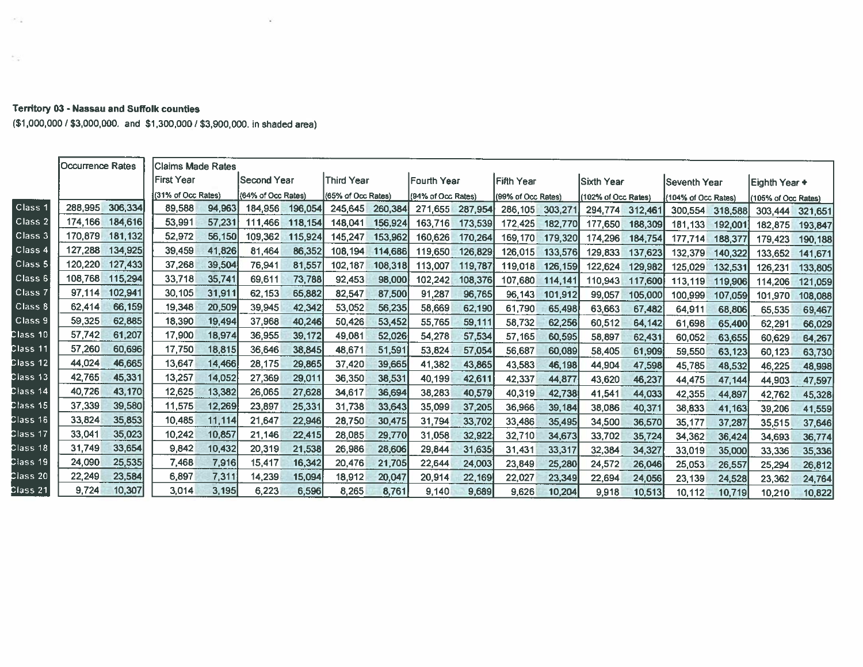## **Territory 03 - Nassau and Suffolk counties**

 $\langle\sigma_{\rm{max}}^2\rangle$ 

 $\frac{1}{2} \left( \frac{1}{2} \right)$ 

(\$1,000,000 / \$3,000,000. and \$1,300,000 / \$3,900,000. in shaded area)

V.

|                                               | <b>Occurrence Rates</b> |         | Claims Made Rates  |        |                    |         |                    |         |                    |         |                    |         |                     |         |                     |         |                     |         |
|-----------------------------------------------|-------------------------|---------|--------------------|--------|--------------------|---------|--------------------|---------|--------------------|---------|--------------------|---------|---------------------|---------|---------------------|---------|---------------------|---------|
|                                               |                         |         | <b>First Year</b>  |        | Second Year        |         | Third Year         |         | lFourth Year       |         | <b>Fifth Year</b>  |         | Sixth Year          |         | Seventh Year        |         | Eighth Year +       |         |
|                                               |                         |         | (31% of Occ Rates) |        | (64% of Occ Rates) |         | (65% of Occ Rates) |         | (94% of Occ Rates) |         | (99% of Occ Rates) |         | (102% of Occ Rates) |         | (104% of Occ Rates) |         | (105% of Occ Rates) |         |
| Class 1                                       | 288.995                 | 306,334 | 89,588             | 94,963 | 184,956            | 196,054 | 245,645            | 260,384 | 271,655            | 287,954 | 286,105            | 303,271 | 294,774             | 312,46  | 300,554             | 318,588 | 303,444             | 321,651 |
| Class <sub>2</sub>                            | 174,166                 | 184,616 | 53,991             | 57.231 | 111,466            | 118,154 | 148,041            | 156,924 | 163,716            | 173,539 | 172,425            | 182,770 | 177,650             | 188,309 | 181,133             | 192,001 | 182,875             | 193,847 |
| Class 3                                       | 170,879                 | 181,132 | 52,972             | 56,150 | 109.362            | 115,924 | 145,247            | 153,962 | 160,626            | 170,264 | 169,170            | 179,320 | 174,296             | 184,754 | 177.714             | 188,377 | 179,423             | 190,188 |
| Class <sup>4</sup>                            | 127.288                 | 134,925 | 39,459             | 41,826 | 81.464             | 86,352  | 108,194            | 114,686 | 119,650            | 126,829 | 126,015            | 133,576 | 129,833             | 137,623 | 132,379             | 140,322 | 133,652             | 141,671 |
| Class 5                                       | 120,220                 | 127,433 | 37,268             | 39,504 | 76,941             | 81,557  | 102,187            | 108,318 | 113,007            | 119,787 | 119,018            | 126,159 | 122,624             | 129,982 | 125,029             | 132,531 | 126,231             | 133,805 |
| Class <sub>6</sub>                            | 108,768                 | 115,294 | 33,718             | 35,741 | 69,611             | 73,788  | 92,453             | 98,000  | 102,242            | 108,376 | 107,680            | 114,141 | 110,943             | 117,600 | 113,119             | 119,906 | 114,206             | 121,059 |
| Class <sub>7</sub>                            | 97.114                  | 102,94  | 30,105             | 31,911 | 62.153             | 65,882  | 82,547             | 87,500  | 91,287             | 96,765  | 96,143             | 101,912 | 99,057              | 105,000 | 100,999             | 107,059 | 101,970             | 108,088 |
| Class 8                                       | 62,414                  | 66.159  | 19,348             | 20,509 | 39,945             | 42,342  | 53,052             | 56,235  | 58,669             | 62,190  | 61,790             | 65,498  | 63,663              | 67,482  | 64.911              | 68,806  | 65,535              | 69,467  |
| Class <sub>9</sub>                            | 59,325                  | 62.885  | 18,390             | 19,494 | 37,968             | 40,246  | 50,426             | 53,452  | 55,765             | 59,111  | 58,732             | 62,256  | 60,512              | 64,142  | 61,698              | 65,400  | 62,291              | 66,029  |
| Class 10                                      | 57,742                  | 61,207  | 17,900             | 18,974 | 36,955             | 39,172  | 49,081             | 52,026  | 54,278             | 57,534  | 57,165             | 60,595  | 58,897              | 62,431  | 60,052              | 63,655  | 60,629              | 64,267  |
| Class 11                                      | 57,260                  | 60,696  | 17,750             | 18,815 | 36,646             | 38,845  | 48,671             | 51,591  | 53.824             | 57,054  | 56,687             | 60,089  | 58,405              | 61,909  | 59,550              | 63,123  | 60,123              | 63,730  |
| $\textsf{Class}\ 12$                          | 44,024                  | 46,665  | 13,647             | 14,466 | 28,175             | 29,865  | 37,420             | 39,665  | 41,382             | 43,865  | 43,583             | 46,198  | 44,904              | 47,598  | 45.785              | 48,532  | 46,225              | 48,998  |
| Class 13                                      | 42,765                  | 45,331  | 13,257             | 14,052 | 27,369             | 29,011  | 36,350             | 38,531  | 40,199             | 42,611  | 42,337             | 44,877  | 43,620              | 46,237  | 44,475              | 47,144  | 44,903              | 47,597  |
| Class 14                                      | 40.726                  | 43.170  | 12,625             | 13,382 | 26,065             | 27,628  | 34,617             | 36,694  | 38,283             | 40,579  | 40,319             | 42,738  | 41,541              | 44,033  | 42,355              | 44.897  | 42,762              | 45,328  |
| Class 15                                      | 37,339                  | 39,580  | 11,575             | 12,269 | 23,897             | 25,331  | 31.738             | 33,643  | 35,099             | 37,205  | 36,966             | 39,184  | 38,086              | 40,371  | 38,833              | 41,163  | 39,206              | 41,559  |
| Class 16                                      | 33,824                  | 35,853  | 10.485             | 11,114 | 21,647             | 22,946  | 28,750             | 30,475  | 31,794             | 33,702  | 33,486             | 35,495  | 34,500              | 36,570  | 35,177              | 37,287  | 35,515              | 37,646  |
| Class 17                                      | 33,041                  | 35,023  | 10.242             | 10,857 | 21,146             | 22,415  | 28,085             | 29,770  | 31.058             | 32,922  | 32,710             | 34,673  | 33,702              | 35,724  | 34,362              | 36,424  | 34,693              | 36,774  |
| Class 18                                      | 31,749                  | 33,654  | 9,842              | 10.432 | 20,319             | 21,538  | 26,986             | 28,606  | 29,844             | 31,635  | 31,431             | 33,317  | 32,384              | 34,327  | 33,019              | 35,000  | 33,336              | 35,336  |
| Class 19                                      | 24,090                  | 25,535  | <b>7,468</b>       | 7,916  | 15,417             | 16,342  | 20,476             | 21,705  | 22,644             | 24,003  | 23,849             | 25,280  | 24,572              | 26,046  | 25,053              | 26,557  | 25,294              | 26,812  |
| $\frac{2 \text{lass } 20}{5 \text{ Ass } 20}$ | 22,249                  | 23,584  | 6.897              | 7,311  | 14,239             | 15,094  | 18,912             | 20,047  | 20,914             | 22,169  | 22,027             | 23,349  | 22,694              | 24,056  | 23,139              | 24,528  | 23,362              | 24,764  |
| Class 21                                      | 9.724                   | 10,307  | 3.014              | 3.195  | 6,223              | 6,596   | 8,265              | 8,761   | 9,140              | 9,689   | 9,626              | 10,204  | 9,918               | 10,513  | 10,112              | 10,719  | 10,210              | 10,822  |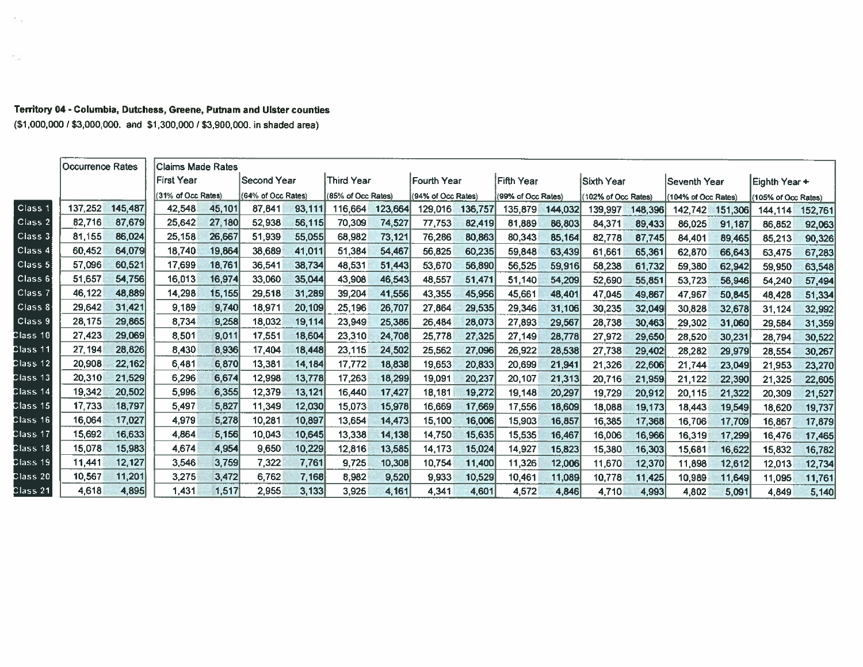## Territory 04 - Columbia, Dutchess, Greene, Putnam and Ulster counties

(\$1,000,000 / \$3,000,000. and \$1,300,000 / \$3,900,000. in shaded area)

 $\mathcal{O}^{\bullet}_{\mathrm{c}}\mathcal{O}_{\mathrm{d}}$ 

 $\epsilon_{\rm{crit}}$ 

|                    | Occurrence Rates |         | lClaims Made Rates |        |                    |        |                    |         |                    |         |                    |         |                     |         |                     |         |                     |         |
|--------------------|------------------|---------|--------------------|--------|--------------------|--------|--------------------|---------|--------------------|---------|--------------------|---------|---------------------|---------|---------------------|---------|---------------------|---------|
|                    |                  |         | lFirst Year        |        | Second Year        |        | Third Year         |         | lFourth Year       |         | Fifth Year         |         | Sixth Year          |         | <b>Seventh Year</b> |         | Eighth Year +       |         |
|                    |                  |         | (31% of Occ Rates) |        | (64% of Occ Rates) |        | (85% of Occ Rates) |         | (94% of Occ Rates) |         | (99% of Occ Rates) |         | (102% of Occ Rates) |         | 104% of Occ Rates)  |         | (105% of Occ Rates) |         |
| Class <sub>1</sub> | 137,252          | 145,487 | 42,548             | 45,101 | 87.841             | 93,111 | 116,664            | 123,664 | 129,016            | 136,757 | 135,879            | 144,032 | 139,997             | 148,396 | 142,742             | 151,306 | 144.114             | 152,761 |
| Class <sub>2</sub> | 82,716           | 87,679  | 25,642             | 27,180 | 52,938             | 56,115 | 70,309             | 74,527  | 77,753             | 82,419  | 81,889             | 86,803  | 84,371              | 89,433  | 86,025              | 91,187  | 86,852              | 92,063  |
| Class 3            | 81,155           | 86,024  | 25,158             | 26,667 | 51,939             | 55,055 | 68,982             | 73,121  | 76,286             | 80,863  | 80,343             | 85,164  | 82,778              | 87,745  | 84.401              | 89,465  | 85,213              | 90,326  |
| Class <sub>4</sub> | 60,452           | 64.079  | 18,740             | 19,864 | 38,689             | 41,011 | 51,384             | 54,467  | 56,825             | 60,235  | 59,848             | 63,439  | 61,661              | 65,361  | 62,870              | 66,643  | 63,475              | 67,283  |
| Class 5            | 57,096           | 60,521  | 17,699             | 18,761 | 36,541             | 38,734 | 48,531             | 51,443  | 53,670             | 56,890  | 56,525             | 59,916  | 58,238              | 61,732  | 59,380              | 62,942  | 59,950              | 63,548  |
| Class <sub>6</sub> | 51,657           | 54,756  | 16,013             | 16,974 | 33,060             | 35,044 | 43,908             | 46,543  | 48,557             | 51,471  | 51,140             | 54,209  | 52,690              | 55,851  | 53,723              | 56,946  | 54,240              | 57,494  |
| Class 7            | 46,122           | 48,889  | 14,298             | 15,155 | 29,518             | 31.289 | 39,204             | 41,556  | 43,355             | 45,956  | 45,661             | 48,401  | 47,045              | 49,867  | 47,967              | 50,845  | 48,428              | 51,334  |
| Class 8            | 29,642           | 31,421  | 9,189              | 9,740  | 18,971             | 20,109 | 25,196             | 26,707  | 27,864             | 29,535  | 29,346             | 31,106  | 30,235              | 32,049  | 30,828              | 32,678  | 31,124              | 32,992  |
| Class <sub>9</sub> | 28,175           | 29,865  | 8,734              | 9,258  | 18,032             | 19,114 | 23,949             | 25,386  | 26,484             | 28,073  | 27,893             | 29,567  | 28,738              | 30,463  | 29.302              | 31,060  | 29,584              | 31,359  |
| Class 10           | 27,423           | 29,069  | 8,501              | 9,011  | 17,551             | 18,604 | 23,310             | 24,708  | 25,778             | 27,325  | 27,149             | 28,778  | 27,972              | 29,650  | 28,520              | 30,231  | 28,794              | 30,522  |
| Class 11           | 27,194           | 28,826  | 8,430              | 8,936  | 17,404             | 18,448 | 23,115             | 24,502  | 25,562             | 27,096  | 26,922             | 28,538  | 27,738              | 29,402  | 28,282              | 29,979  | 28,554              | 30,267  |
| Class 12           | 20,908           | 22,162  | 6,481              | 6,870  | 13,381             | 14,184 | 17,772             | 18,838  | 19,653             | 20,833  | 20,699             | 21,941  | 21,326              | 22,606  | 21,744              | 23,049  | 21,953              | 23,270  |
| Class 13           | 20,310           | 21,529  | 6,296              | 6,674  | 12,998             | 13,778 | 17,263             | 18,299  | 19,091             | 20,237  | 20,107             | 21,313  | 20,716              | 21,959  | 21,122              | 22,390  | 21,325              | 22,605  |
| Class 14           | 19,342           | 20,502  | 5,996              | 6,355  | 12,379             | 13,121 | 16,440             | 17,427  | 18,181             | 19,272  | 19,148             | 20,297  | 19,729              | 20,912  | 20,115              | 21,322  | 20,309              | 21,527  |
| Class 15           | 17,733           | 18,797  | 5,497              | 5,827  | 11,349             | 12,030 | 15,073             | 15,978  | 16,669             | 17,669  | 17,556             | 18,609  | 18,088              | 19,173  | 18,443              | 19,549  | 18,620              | 19,737  |
| Class 16           | 16,064           | 17,027  | 4,979              | 5,278  | 10,281             | 10,897 | 13,654             | 14,473  | 15,100             | 16,006  | 15,903             | 16,857  | 16,385              | 17,368  | 16.706              | 17,709  | 16,867              | 17,879  |
| Class 17           | 15,692           | 16,633  | 4.864              | 5.156  | 10.043             | 10,645 | 13,338             | 14,138  | 14,750             | 15,635  | 15,535             | 16,467  | 16,006              | 16,966  | 16,319              | 17,299  | 16,476              | 17,465  |
| Class 18           | 15,078           | 15,983  | 4,674              | 4,954  | 9,650              | 10,229 | 12,816             | 13,585  | 14,173             | 15,024  | 14.927             | 15,823  | 15,380              | 16,303  | 15,681              | 16,622  | 15,832              | 16,782  |
| Class 19           | 11,441           | 12,127  | 3,546              | 3,759  | 7,322              | 7,761  | 9,725              | 10,308  | 10,754             | 11,400  | 11,326             | 12,006  | 11,670              | 12,370  | 11,898              | 12,612  | 12,013              | 12,734  |
| Class 20           | 10,567           | 11,201  | 3,275              | 3,472  | 6,762              | 7,168  | 8,982              | 9,520   | 9,933              | 10,529  | 10,461             | 11,089  | 10,778              | 11,425  | 10,989              | 11,649  | 11.095              | 11,761  |
| Class 21           | 4,618            | 4,895   | 1,431              | 1,517  | 2,955              | 3,133  | 3,925              | 4,161   | 4,341              | 4,601   | 4,572              | 4,846   | 4,710               | 4,993   | 4,802               | 5,091   | 4.849               | 5,140   |
|                    |                  |         |                    |        |                    |        |                    |         |                    |         |                    |         |                     |         |                     |         |                     |         |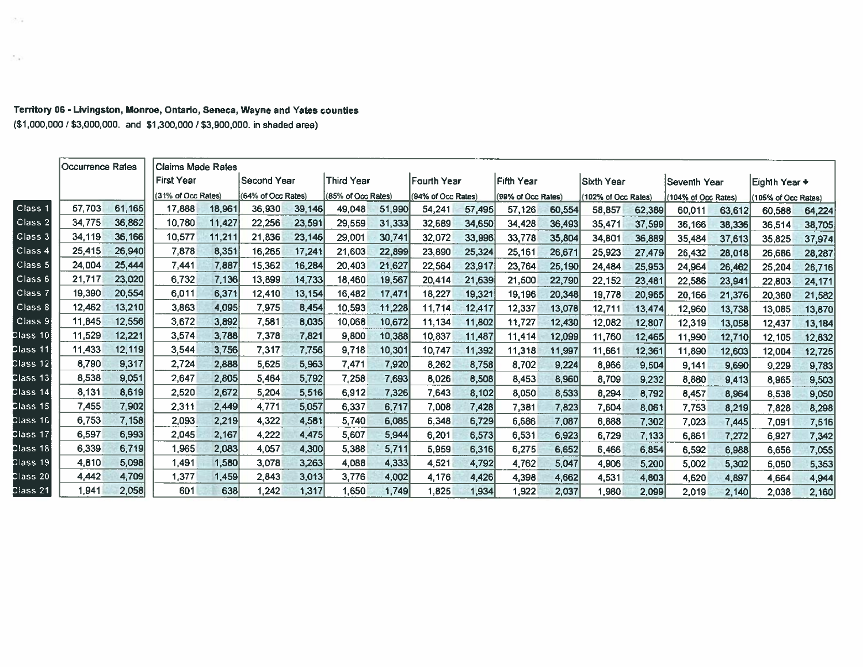|                    | Occurrence Rales |        | Claims Made Rates  |        |                    |        |                    |        |                    |        |                    |        |                  |                      |
|--------------------|------------------|--------|--------------------|--------|--------------------|--------|--------------------|--------|--------------------|--------|--------------------|--------|------------------|----------------------|
|                    |                  |        | <b>First Year</b>  |        | Second Year        |        | Third Year         |        | Fourth Year        |        | Fifth Year         |        | Sixth Year       |                      |
|                    |                  |        | (31% of Occ Rates) |        | (64% of Occ Rates) |        | (85% of Occ Rates) |        | (94% of Occ Rates) |        | (99% of Occ Rates) |        | (102% of Occ Rat |                      |
| Class 1            | 57,703           | 61,165 | 17,888             | 18,961 | 36,930             | 39,146 | 49,048             | 51,990 | 54,241             | 57,495 | 57,126             | 60,554 | 58,857           | 6                    |
| Class 2            | 34,775           | 36,862 | 10,780             | 11,427 | 22,256             | 23,591 | 29,559             | 31,333 | 32,689             | 34,650 | 34,428             | 36,493 | 35,471           | $\mathbf{3}$         |
| Class 3            | 34,119           | 36,166 | 10,577             | 11,211 | 21,836             | 23,146 | 29,001             | 30,741 | 32,072             | 33,996 | 33,778             | 35,804 | 34,801           | 3                    |
| Class 4            | 25,415           | 26,940 | 7,878              | 8,351  | 16,265             | 17,241 | 21,603             | 22,899 | 23,890             | 25,324 | 25,161             | 26,671 | 25,923           | $\mathbf{2}^{\cdot}$ |
| Class 5            | 24,004           | 25,444 | 7,441              | 7,887  | 15,362             | 16,284 | 20,403             | 21,627 | 22,564             | 23,917 | 23,764             | 25,190 | 24,484           | 2                    |
| Class 6            | 21,717           | 23,020 | 6,732              | 7,136  | 13,899             | 14,733 | 18,460             | 19,567 | 20,414             | 21,639 | 21,500             | 22,790 | 22,152           | 2                    |
| Class <sub>7</sub> | 19,390           | 20,554 | 6,011              | 6,371  | 12,410             | 13,154 | 16,482             | 17,471 | 18,227             | 19,321 | 19,196             | 20,348 | 19,778           | 2 <sup>i</sup>       |
| Class 8            | 12,462           | 13,210 | 3,863              | 4,095  | 7,975              | 8,454  | 10,593             | 11,228 | 11,714             | 12,417 | 12,337             | 13,078 | 12,711           | $\ddagger$           |
| Class 9            | 11,845           | 12,556 | 3,672              | 3,892  | 7,581              | 8,035  | 10,068             | 10,672 | 11,134             | 11,802 | 11,727             | 12,430 | 12,082           | 1                    |
| Class 10           | 11,529           | 12,221 | 3,574              | 3,788  | 7,378              | 7,821  | 9,800              | 10,388 | 10,837             | 11,487 | 11,414             | 12,099 | 11,760           | 1:                   |
|                    |                  |        |                    |        |                    |        |                    |        |                    |        |                    |        |                  |                      |

## Territory 06 - Livingston, Monroe, Ontario, Seneca, Wayne and Yates counties (\$1,000,000 / \$3,000,000. and \$1,300,000 / \$3,900,000. in shaded area)

 $\mathcal{F}(\mathcal{A})$ 

Av.

|                                            | --------------- |        |                    |        |                    |        |                    |        |                    |        |                    |        |                     |        |                     |        |                     |        |
|--------------------------------------------|-----------------|--------|--------------------|--------|--------------------|--------|--------------------|--------|--------------------|--------|--------------------|--------|---------------------|--------|---------------------|--------|---------------------|--------|
|                                            |                 |        | First Year         |        | <b>Second Year</b> |        | Third Year         |        | <b>Fourth Year</b> |        | Fifth Year         |        | Sixth Year          |        | Seventh Year        |        | Eighth Year +       |        |
|                                            |                 |        | (31% of Occ Rates) |        | (64% of Occ Rates) |        | (85% of Occ Rates) |        | (94% of Occ Rates) |        | (99% of Occ Rates) |        | (102% of Occ Rates) |        | (104% of Occ Rates) |        | (105% of Occ Rates) |        |
| Class <sub>1</sub>                         | 57,703          | 61.165 | 17,888             | 18,961 | 36,930             | 39,146 | 49,048             | 51,990 | 54,241             | 57,495 | 57,126             | 60,554 | 58,857              | 62,389 | 60,011              | 63,612 | 60,588              | 64,224 |
| Class 2                                    | 34,775          | 36,862 | 10,780             | 11,427 | 22,256             | 23,591 | 29,559             | 31,333 | 32,689             | 34,650 | 34,428             | 36,493 | 35,471              | 37,599 | 36,166              | 38,336 | 36,514              | 38,705 |
| Class 3                                    | 34,119          | 36,166 | 10,577             | 11,211 | 21,836             | 23,146 | 29,001             | 30,741 | 32,072             | 33,996 | 33,778             | 35,804 | 34,801              | 36,889 | 35,484              | 37,613 | 35,825              | 37,974 |
| Class 4                                    | 25,415          | 26,940 | 7,878              | 8,351  | 16,265             | 17,241 | 21,603             | 22,899 | 23,890             | 25,324 | 25,161             | 26,671 | 25,923              | 27,479 | 26,432              | 28,018 | 26,686              | 28,287 |
| Class 5                                    | 24,004          | 25,444 | 7,441              | 7,887  | 15,362             | 16,284 | 20,403             | 21,627 | 22,564             | 23,917 | 23,764             | 25,190 | 24,484              | 25,953 | 24,964              | 26,462 | 25,204              | 26,716 |
| Class 6                                    | 21,717          | 23,020 | 6,732              | 7,136  | 13,899             | 14,733 | 18,460             | 19,567 | 20,414             | 21,639 | 21,500             | 22,790 | 22,152              | 23,481 | 22,586              | 23,941 | 22,803              | 24,171 |
| $C$ lass 7                                 | 19,390          | 20,554 | 6,011              | 6,371  | 12,410             | 13,154 | 16,482             | 17,471 | 18,227             | 19,321 | 19,196             | 20,348 | 19,778              | 20,965 | 20,166              | 21,376 | 20,360              | 21,582 |
| Class 8                                    | 12,462          | 13,210 | 3,863              | 4,095  | 7,975              | 8,454  | 10,593             | 11,228 | 11,714             | 12,417 | 12,337             | 13,078 | 12,711              | 13,474 | 12,960              | 13,738 | 13,085              | 13,870 |
| Class 9                                    | 11,845          | 12,556 | 3,672              | 3,892  | 7,581              | 8,035  | 10,068             | 10,672 | 11,134             | 11,802 | 11,727             | 12,430 | 12,082              | 12,807 | 12,319              | 13,058 | 12,437              | 13,184 |
| $\sf Class\,10$                            | 11,529          | 12,221 | 3,574              | 3,788  | 7,378              | 7,821  | 9,800              | 10,388 | 10,837             | 11,487 | 11,414             | 12,099 | 11,760              | 12,465 | 11,990              | 12,710 | 12,105              | 12,832 |
| Class 11                                   | 11,433          | 12,119 | 3,544              | 3,756  | 7,317              | 7,756  | 9,718              | 10,301 | 10,747             | 11,392 | 11,318             | 11,997 | 11,661              | 12,361 | 11,890              | 12,603 | 12,004              | 12,725 |
| Class 12                                   | 8,790           | 9,317  | 2,724              | 2,888  | 5,625              | 5,963  | 7,471              | 7,920  | 8,262              | 8,758  | 8,702              | 9,224  | 8,966               | 9,504  | 9,141               | 9,690  | 9,229               | 9,783  |
| Class 13                                   | 8,538           | 9,051  | 2,647              | 2,805  | 5,464              | 5,792  | 7,258              | 7,693  | 8,026              | 8,508  | 8,453              | 8,960  | 8,709               | 9,232  | 8,880               | 9,413  | 8,965               | 9,503  |
| Class 14                                   | 8,131           | 8,619  | 2,520              | 2,672  | 5,204              | 5,516  | 6,912              | 7,326  | 7.643              | 8,102  | 8.050              | 8,533  | 8,294               | 8,792  | 8,457               | 8,964  | 8,538               | 9,050  |
| $\textsf{Class} \overline{\phantom{0}} 15$ | 7,455           | 7,902  | 2,311              | 2,449  | 4,771              | 5,057  | 6,337              | 6,717  | 7,008              | 7,428  | 7,381              | 7,823  | 7,604               | 8,061  | 7,753               | 8,219  | 7,828               | 8,298  |
| Class 16.                                  | 6,753           | 7,158  | 2,093              | 2,219  | 4,322              | 4,581  | 5,740              | 6,085  | 6,348              | 6,729  | 6,686              | 7,087  | 6,888               | 7,302  | 7,023               | 7,445  | 7,091               | 7,516  |
| Class 17                                   | 6.597           | 6,993  | 2,045              | 2,167  | 4,222              | 4,475  | 5,607              | 5,944  | 6,201              | 6,573  | 6,531              | 6,923  | 6,729               | 7,133  | 6,861               | 7,272  | 6,927               | 7,342  |
| $\textsf{Class}\ 18$                       | 6,339           | 6,719  | 1,965              | 2,083  | 4,057              | 4,300  | 5,388              | 5,711  | 5,959              | 6,316  | 6,275              | 6,652  | 6,466               | 6,854  | 6,592               | 6,988  | 6,656               | 7,055  |
| Class 19                                   | 4,810           | 5,098  | 1.491              | 1,580  | 3,078              | 3,263  | 4,088              | 4,333  | 4,521              | 4,792  | 4,762              | 5,047  | 4,906               | 5,200  | 5,002               | 5,302  | 5.050               | 5,353  |
| Class 20                                   | 4,442           | 4,709  | 1,377              | 1,459  | 2,843              | 3,013  | 3,776              | 4,002  | 4,176              | 4,426  | 4.398              | 4,662  | 4,531               | 4.803  | 4,620               | 4,897  | 4,664               | 4,944  |
| Class 21                                   | 1.941           | 2.058  | 601                | 638    | 1.242              | 1.317  | 1.650              | 1.749  | 1825               | 1934   | -922               | 2037   | 980                 | 2.099  | 2 N 1 9             | 2.140  | 2.038               | 2.160  |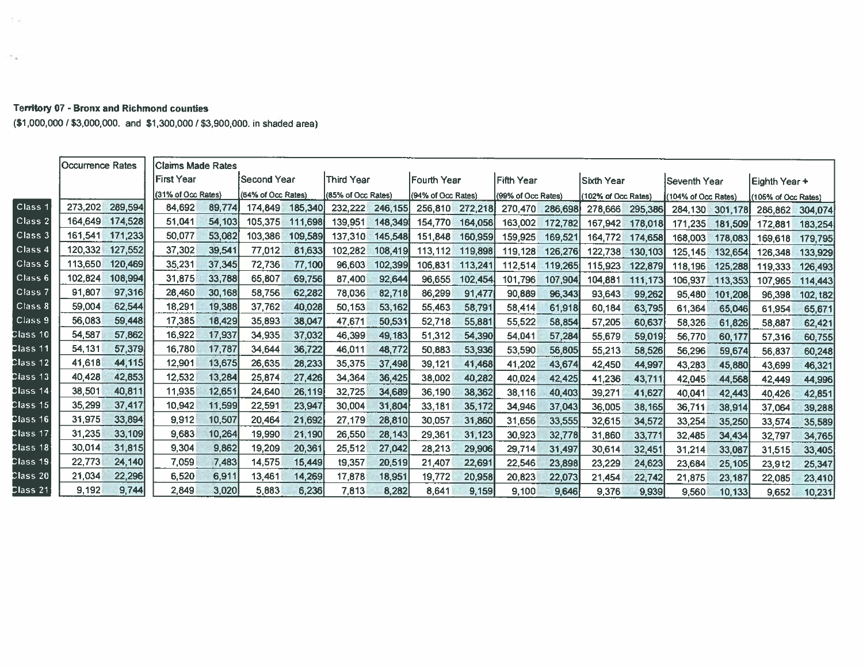| <b>Territory 07 - Bronx and Richmond counties</b> |                                                                            |
|---------------------------------------------------|----------------------------------------------------------------------------|
|                                                   | (\$1,000,000 / \$3,000,000. and \$1,300,000 / \$3,900,000. in shaded area) |

 $\sim 10$ 

 $\sim 2.5\%$ 

|                    | <b>Occurrence Rates</b> |         | <b>Claims Made Rates</b> |        |                    |         |                    |         |                     |         |                    |         |                    |         |                     |         |                     |          |
|--------------------|-------------------------|---------|--------------------------|--------|--------------------|---------|--------------------|---------|---------------------|---------|--------------------|---------|--------------------|---------|---------------------|---------|---------------------|----------|
|                    |                         |         | <b>First Year</b>        |        | <b>Second Year</b> |         | lThird Year        |         | <b>IFourth Year</b> |         | <b>Fifth Year</b>  |         | Sixth Year         |         | Seventh Year        |         | Eighth Year +       |          |
|                    |                         |         | (31% of Occ Rates)       |        | (64% of Occ Rates) |         | (85% of Occ Rates) |         | (94% of Occ Rates)  |         | (99% of Occ Rates) |         | 102% of Occ Rates) |         | (104% of Occ Rates) |         | (105% of Occ Rates) |          |
| Class <sub>1</sub> | 273.202                 | 289,594 | 84.692                   | 89,774 | 174,849            | 185,340 | 232,222            | 246,155 | 256,810             | 272,218 | 270,470            | 286,698 | 278,666            | 295,386 | 284,130             | 301,178 | 286,862             | 304,074  |
| Class <sub>2</sub> | 164,649                 | 174,528 | 51,041                   | 54,103 | 105,375            | 111,698 | 139,951            | 148,349 | 154,770             | 164,056 | 163,002            | 172,782 | 167,942            | 178,018 | 171.235             | 181.509 | 172.881             | 183,254  |
| Class 3            | 161,541                 | 171,233 | 50,077                   | 53,082 | 103,386            | 109,589 | 137,310            | 145,548 | 151,848             | 160,959 | 159,925            | 169,521 | 164,772            | 174,658 | 168,003             | 178,083 | 169,618             | 179,795  |
| Class <sub>4</sub> | 120,332                 | 127,552 | 37,302                   | 39,541 | 77,012             | 81,633  | 102.282            | 108,419 | 113,112             | 119,898 | 119,128            | 126,276 | 122,738            | 130,103 | 125,145             | 132,654 | 126,348             | 133,929  |
| Class <sub>5</sub> | 113,650                 | 120,469 | 35,231                   | 37,345 | 72,736             | 77,100  | 96.603             | 102,399 | 106,831             | 113,241 | 112,514            | 119,265 | 115,923            | 122,879 | 118,196             | 125,288 | 119.333             | 126,493  |
| $C$ lass $6$       | 102,824                 | 108,994 | 31,875                   | 33,788 | 65,807             | 69,756  | 87,400             | 92,644  | 96,655              | 102,454 | 101,796            | 107,904 | 104,881            | 111,173 | 106,937             | 113,353 | 107,965             | 114,443  |
| Class <sub>7</sub> | 91,807                  | 97,316  | 28,460                   | 30,168 | 58,756             | 62,282  | 78,036             | 82,718  | 86,299              | 91,477  | 90.889             | 96,343  | 93,643             | 99,262  | 95,480              | 101,208 | 96.398              | 102, t82 |
| Class 8            | 59,004                  | 62,544  | 18.291                   | 19,388 | 37,762             | 40,028  | 50,153             | 53,162  | 55,463              | 58,791  | 58,414             | 61,918  | 60,184             | 63,795  | 61,364              | 65,046  | 61,954              | 65,671   |
| Class 9            | 56,083                  | 59,448  | 17,385                   | 18,429 | 35,893             | 38,047  | 47.671             | 50,531  | 52,718              | 55,881  | 55,522             | 58,854  | 57,205             | 60,637  | 58,326              | 61,826  | 58,887              | 62,421   |
| :lass 10           | 54,587                  | 57,862  | 16.922                   | 17,937 | 34,935             | 37,032  | 46,399             | 49,183  | 51,312              | 54,390  | 54,041             | 57,284  | 55,679             | 59,019  | 56,770              | 60,177  | 57,316              | 60,755   |
| Mass 11            | 54,131                  | 57,379  | 16.780                   | 17,787 | 34,644             | 36,722  | 46,011             | 48,772  | 50,883              | 53,936  | 53,590             | 56,805  | 55,213             | 58,526  | 56,296              | 59,674  | 56.837              | 60,248   |
| lass 12:           | 41,618                  | 44,115  | 12,901                   | 13,675 | 26,635             | 28,233  | 35,375             | 37,498  | 39,121              | 41,468  | 41,202             | 43,674  | 42,450             | 44,997  | 43,283              | 45,880  | 43,699              | 46,321   |
| ∶lass 13           | 40,428                  | 42,853  | 12,532                   | 13,284 | 25,874             | 27,426  | 34,364             | 36,425  | 38,002              | 40,282  | 40,024             | 42,425  | 41,236             | 43,711  | 42,045              | 44,568  | 42,449              | 44,996   |
| :lass 14           | 38,501                  | 40,811  | 11,935                   | 12,651 | 24,640             | 26,119  | 32,725             | 34,689  | 36,190              | 38,362  | 38.116             | 40,403  | 39,271             | 41,627  | 40,041              | 42,443  | 40.426              | 42,851   |
| lass 15            | 35,299                  | 37,417  | 10,942                   | 11,599 | 22,591             | 23,947  | 30,004             | 31,804  | 33.181              | 35,172  | 34,946             | 37,043  | 36,005             | 38,165  | 36,711              | 38,914  | 37,064              | 39,288   |
| :lass 16           | 31,975                  | 33,894  | 9,912                    | 10,507 | 20,464             | 21,692  | 27,179             | 28,810  | 30,057              | 31,860  | 31,656             | 33,555  | 32,615             | 34,572  | 33,254              | 35,250  | 33,574              | 35,589   |
| :lass 17           | 31,235                  | 33,109  | 9,683                    | 10,264 | 19,990             | 21,190  | 26,550             | 28,143  | 29,361              | 31,123  | 30.923             | 32,778  | 31,860             | 33,771  | 32,485              | 34,434  | 32,797              | 34,765   |
| મass 18            | 30,014                  | 31,815  | 9.304                    | 9,862  | 19,209             | 20,361  | 25,512             | 27,042  | 28,213              | 29,906  | 29,714             | 31,497  | 30,614             | 32,451  | 31,214              | 33,087  | 31,515              | 33,405   |
| :lass 19           | 22.773                  | 24,140  | 7.059                    | 7,483  | 14,575             | 15,449  | t9,357             | 20,519  | 21,407              | 22,691  | 22,546             | 23,898  | 23,229             | 24,623  | 23,684              | 25,105  | 23,9t2              | 25,347   |
| ∶lass 20           | 21,034                  | 22,296  | 6.520                    | 6,911  | 13,461             | 14,269  | 17,878             | 18,951  | 19,772              | 20,958  | 20,823             | 22,073  | 21,454             | 22,742  | 21,875              | 23,187  | 22,085              | 23,410   |
| :lass 21           | 9.192                   | 9,744   | 2,849                    | 3,020  | 5,883              | 6,236   | 7,813              | 8,282   | 8,641               | 9,159   | 9,100              | 9,646   | 9,376              | 9,939   | 9,560               | 10.133  | 9,652               | 10,231   |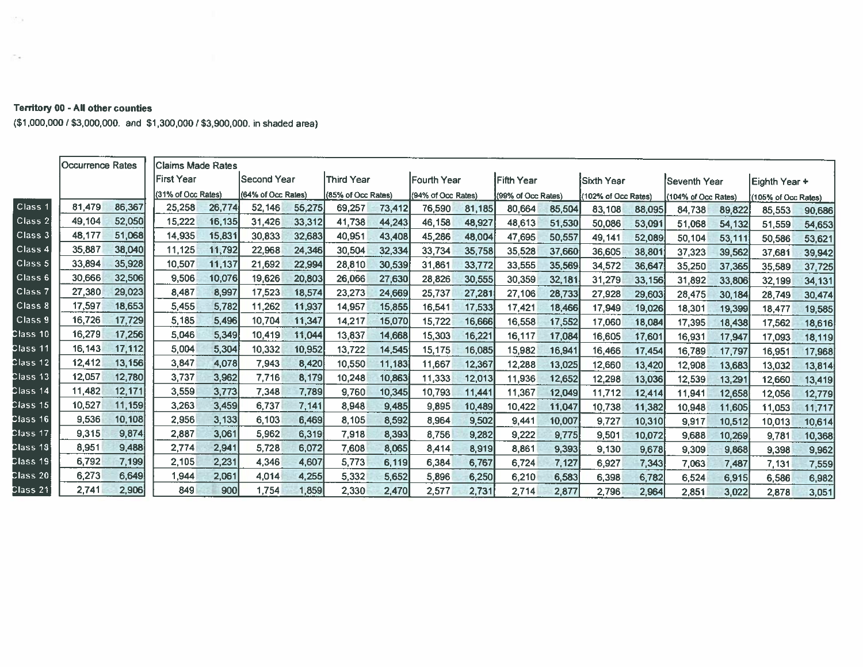## **Territory 00 - All other counties**

 $\mathcal{W}(\mathcal{C})$ 

Ca.

(\$1,000,000 / \$3,000,000. and \$1,300,000 / \$3,900,000. in shaded area)

|                    | Occurrence Rates |        | <b>Claims Made Rates</b> |        |                    |        |                    |        |                     |        |                    |        |                     |        |                    |        |                    |        |
|--------------------|------------------|--------|--------------------------|--------|--------------------|--------|--------------------|--------|---------------------|--------|--------------------|--------|---------------------|--------|--------------------|--------|--------------------|--------|
|                    |                  |        | <b>First Year</b>        |        | Second Year        |        | lThird Year        |        | <b>IFourth Year</b> |        | <b>IFifth Year</b> |        | Sixth Year          |        | Seventh Year       |        | Eighth Year +      |        |
|                    |                  |        | (31% of Occ Rates)       |        | (64% of Occ Rates) |        | (85% of Occ Rates) |        | (94% of Occ Rates)  |        | (99% of Occ Rates) |        | (102% of Occ Rates) |        | 104% of Occ Rates) |        | 105% of Occ Rates) |        |
| Class <sup>®</sup> | 81,479           | 86,367 | 25,258                   | 26,774 | 52,146             | 55,275 | 69,257             | 73,412 | 76,590              | 81,185 | 80,664             | 85,504 | 83,108              | 88,095 | 84,738             | 89,822 | 85,553             | 90,686 |
| Class 2            | 49,104           | 52,050 | 15,222                   | 16,135 | 31,426             | 33,312 | 41,738             | 44,243 | 46,158              | 48,927 | 48,613             | 51,530 | 50,086              | 53,091 | 51,068             | 54,132 | 51,559             | 54,653 |
| Class <sub>3</sub> | 48,177           | 51,068 | 14,935                   | 15,831 | 30,833             | 32,683 | 40,951             | 43,408 | 45,286              | 48,004 | 47,695             | 50,557 | 49,141              | 52,089 | 50,104             | 53,111 | 50,586             | 53,621 |
| Class <sub>4</sub> | 35,887           | 38,040 | 11.125                   | 11,792 | 22,968             | 24,346 | 30,504             | 32,334 | 33,734              | 35,758 | 35,528             | 37,660 | 36,605              | 38,801 | 37,323             | 39,562 | 37,681             | 39,942 |
| Class <sub>5</sub> | 33.894           | 35,928 | 10,507                   | 11,137 | 21,692             | 22,994 | 28,810             | 30,539 | 31,861              | 33,772 | 33,555             | 35,569 | 34,572              | 36,647 | 35,250             | 37,365 | 35,589             | 37,725 |
| Class 6            | 30,666           | 32,506 | 9,506                    | 10,076 | 19,626             | 20,803 | 26,066             | 27,630 | 28,826              | 30,555 | 30,359             | 32,181 | 31,279              | 33,156 | 31,892             | 33,806 | 32,199             | 34,131 |
| Class 7            | 27,380           | 29.023 | 8,487                    | 8,997  | 17,523             | 18,574 | 23,273             | 24,669 | 25,737              | 27,281 | 27,106             | 28,733 | 27,928              | 29,603 | 28,475             | 30,184 | 28,749             | 30,474 |
| Class 8            | 17,597           | 18,653 | 5,455                    | 5,782  | 11,262             | 11,937 | 14,957             | 15,855 | 16,541              | 17,533 | 17,421             | 18,466 | 17,949              | 19,026 | 18,301             | 19,399 | 18,477             | 19,585 |
| Class 9            | 16,726           | 17,729 | 5,185                    | 5,496  | 10,704             | 11,347 | 14,217             | 15,070 | 15,722              | 16,666 | 16,558             | 17,552 | 17,060              | 18,084 | 17,395             | 18,438 | 17,562             | 18,616 |
| Class 10           | 16,279           | 17,256 | 5,046                    | 5,349  | 10,419             | 11,044 | 13,837             | 14,668 | 15,303              | 16,221 | 16.117             | 17,084 | 16,605              | 17,601 | 16,931             | 17,947 | 17,093             | 18,119 |
| Class 11           | 16,143           | 17,112 | 5,004                    | 5,304  | 10,332             | 10,952 | 13,722             | 14,545 | 15,175              | 16,085 | 15,982             | 16,941 | 16,466              | 17,454 | 16,789             | 17,797 | 16,951             | 17,968 |
| Class 12           | 12,412           | 13,156 | 3,847                    | 4,078  | 7,943              | 8,420  | 10,550             | 11,183 | 11,667              | 12,367 | 12,288             | 13,025 | 12,660              | 13,420 | 12,908             | 13,683 | 13,032             | 13,814 |
| Class 13           | 12,057           | 12,780 | 3.737                    | 3,962  | 7,716              | 8,179  | 10,248             | 10,863 | 11,333              | 12,013 | 11,936             | 12,652 | 12,298              | 13,036 | 12,539             | 13,291 | 12,660             | 13,419 |
| Class 14           | 11,482           | 12,171 | 3,559                    | 3,773  | 7,348              | 7,789  | 9.760              | 10,345 | 10,793              | 11,441 | 11.367             | 12,049 | 11,712              | 12,414 | 11.941             | 12,658 | 12,056             | 12,779 |
| Class 15           | 10.527           | 11,159 | 3,263                    | 3,459  | 6,737              | 7,141  | 8.948              | 9,485  | 9,895               | 10,489 | 10.422             | 11,047 | 10.738              | 11,382 | 10,948             | 11,605 | 11,053             | 11,717 |
| Class 16           | 9,536            | 10,108 | 2,956                    | 3,133  | 6.103              | 6,469  | 8,105              | 8,592  | 8,964               | 9,502  | 9,441              | 10,007 | 9,727               | 10,310 | 9,917              | 10,512 | 10,013             | 10,614 |
| Class 17           | 9,315            | 9,874  | 2,887                    | 3,061  | 5,962              | 6,319  | 7.918              | 8,393  | 8,756               | 9,282  | 9,222              | 9.775  | 9,501               | 10,072 | 9,688              | 10,269 | 9,781              | 10,368 |
| Class 18           | 8,951            | 9,488  | 2.774                    | 2,941  | 5.728              | 6,072  | 7,608              | 8.065  | 8.414               | 8.919  | 8,861              | 9,393  | 9.130               | 9,678  | 9,309              | 9,868  | 9,398              | 9,962  |
| Class 19           | 6,792            | 7,199  | 2,105                    | 2,231  | 4,346              | 4,607  | 5,773              | 6,119  | 6,384               | 6,767  | 6,724              | 7,127  | 6,927               | 7,343  | 7,063              | 7,487  | 7.131              | 7,559  |
| Class 20           | 6,273            | 6,649  | 1.944                    | 2,061  | 4.014              | 4,255  | 5.332              | 5,652  | 5.896               | 6,250  | 6,210              | 6,583  | 6,398               | 6.782  | 6,524              | 6,915  | 6,586              | 6,982  |
| Class 21           | 2,741            | 2,906  | 849                      | 900    | 1.754              | 1,859  | 2,330              | 2,470  | 2,577               | 2,731  | 2,714              | 2,877  | 2,796               | 2,964  | 2,851              | 3,022  | 2,878              | 3,051  |
|                    |                  |        |                          |        |                    |        |                    |        |                     |        |                    |        |                     |        |                    |        |                    |        |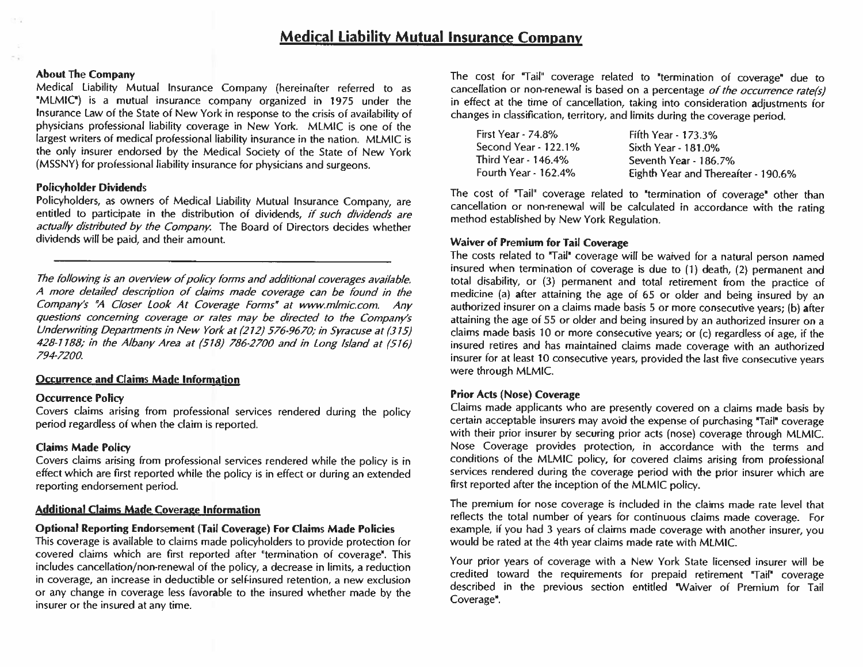## About The Company

Medical Liability Mutual Insurance Company (hereinafter referred to as 'MLMIC') is a mutual insurance company organized in 1975 under the Insurance Law of the State ot New York in response to the crisis of availability of physicians professional liability coverage in New York. MLMIC is one of the largest writers of medical professional liability insurance in the nation. MLMIC is the only insurer endorsed by the Medical Society of the State of New York (MSSNY) for professional liability insurance for physicians and surgeons.

## Policyholder Dividends

Policyholders, as owners of Medical Liability Mutual Insurance Company, are entitled to participate in the distribution of dividends, if such dividends are actually distributed by the Company. The Board of Directors decides whether dividends will be paid, and their amount.

The following is an overview of policy forms and additional coverages available. A more detailed description of claims made coverage can be found in the Company's "A Closer Look At Coverage Forms" at www.mlmic.com. Any questions concerning coverage or rates may be directed to the Company's Underwriting Departments th New York at (212) 576-9670; in Syracuse at (315) 428-1188; in the Albany Area at (518) 786-2700 and in Long Island at (516) 794-720U

## **Occurrence and Claims Made Information**

## Occurrence Policy

Covers claims arising from professional services rendered during the policy period regardless of when the claim is reported.

## claims Made Policy

Covers claims arising from professional services rendered while the policy is in effect which are first reported while the policy is in effect or during an extended reporting endorsement period.

## Additional Claims Made Coverage Information

## Optional Reporting Endorsement (Tail Coverage) For Claims Made Policies

This coverage is available to claims made policyholders to provide protection for covered claims which are first reported after 'termination of coverage'. This includes cancellation/non-renewal of the policy, a decrease in limits, a reduction in coverage, an increase in deductible or self-insured retention, a new exclusion or any change in coverage less favorable to the insured whether made by the insurer or the insured at any time.

The cost for "Tail" coverage related to 'termination of coverage" due to cancellation or non-renewal is based on a percentage of the occurrence rate(s) in effect at the time ot cancellation, taking into consideration adjustments for changes in classification, territory, and limits during the coverage period.

| First Year - 74.8%   | Fifth Year - 173.3%                 |
|----------------------|-------------------------------------|
| Second Year - 122.1% | Sixth Year - 181.0%                 |
| Third Year - 146.4%  | Seventh Year - 186.7%               |
| Fourth Year - 162.4% | Eighth Year and Thereafter - 190.6% |

The cost of "Tail" coverage related to "termination of coverage" other than cancellation or non-renewal will he calculated in accordance with the rating method established by New York Regulation.

## Waiver of Premium for Tail Coverage

The costs related to "Tail' coverage will be waived for a natural person named insured when termination of coverage is due to (1) death, (2) permanent and total disability, or (3) permanent and total retirement from the practice of medicine (a) after attaining the age of 65 or older and being insured by an authorized insurer on <sup>a</sup> claims made basis <sup>5</sup> or more consecutive years; (b) after attaining the age of 55 or older and being insured by an authorized insurer on a claims made basis 10 or more consecutive years; or (c) regardless of age, if the insured retires and has maintained claims made coverage with an authorized insurer for at least 10 consecutive years, provided the last five consecutive years were through MLMIC.

## Prior Acts (Nose) Coverage

Claims made applicants who are presently covered on a claims made basis by certain acceptable insurers may avoid the expense of purchasing "Tail' coverage with their prior insurer by securing prior acts (nose) coverage through MLMIC. Nose Coverage provides protection, in accordance with the terms and conditions of the MLMIC policy, for covered claims arising from professional services rendered during the coverage period with the prior insurer which are first reported after the inception of the MLMIC policy.

The premium for nose coverage is included in the claims made rate level that reflects the total number ot years for continuous claims made coverage. For example. if you had <sup>3</sup> years of claims made coverage with another insurer, you would be rated at the 4th year claims made rate with MLMIC.

Your prior years of coverage with a New York State licensed insurer will be credited toward the requirements for prepaid retirement "Tail' coverage would be rated at the 4th year claims made rate with MLMIC.<br>Your prior years of coverage with a New York State licensed insurer will be<br>credited toward the requirements for prepaid retirement "Tail" coverage<br>described in t Coverage'.